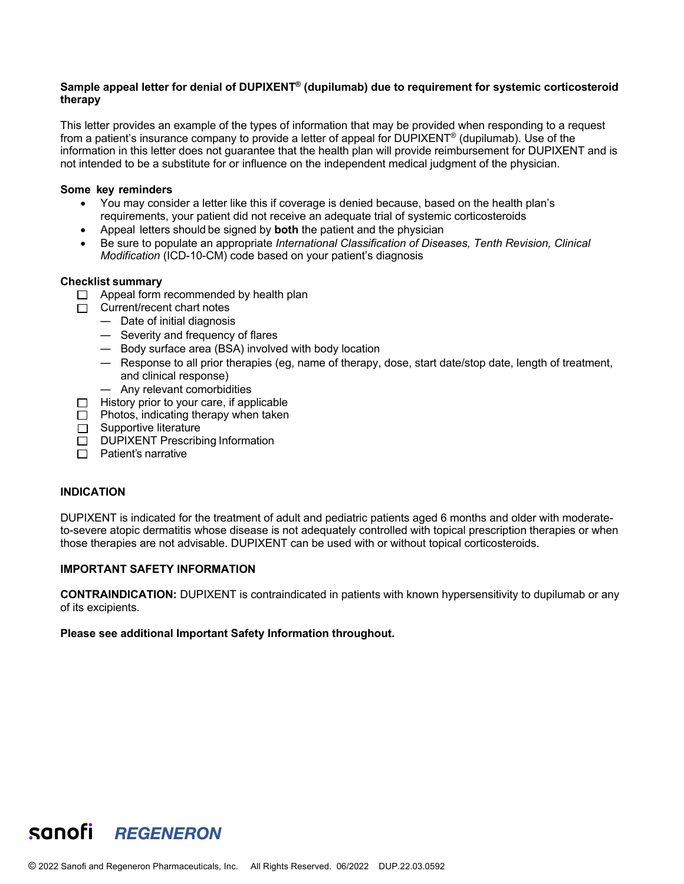## **Sample appeal letter for denial of DUPIXENT® (dupilumab) due to requirement for systemic corticosteroid therapy**

This letter provides an example of the types of information that may be provided when responding to a request from a patient's insurance company to provide a letter of appeal for DUPIXENT® (dupilumab). Use of the information in this letter does not guarantee that the health plan will provide reimbursement for DUPIXENT and is not intended to be a substitute for or influence on the independent medical judgment of the physician.

#### **Some key reminders**

- You may consider a letter like this if coverage is denied because, based on the health plan's requirements, your patient did not receive an adequate trial of systemic corticosteroids
- Appeal letters should be signed by **both** the patient and the physician
- Be sure to populate an appropriate *International Classification of Diseases, Tenth Revision, Clinical Modification* (ICD-10-CM) code based on your patient's diagnosis

#### **Checklist summary**

- $\Box$  Appeal form recommended by health plan
- $\Box$  Current/recent chart notes
	- Date of initial diagnosis
	- Severity and frequency of flares
	- Body surface area (BSA) involved with body location
	- Response to all prior therapies (eg, name of therapy, dose, start date/stop date, length of treatment, and clinical response)
	- Any relevant comorbidities
- $\Box$  History prior to your care, if applicable
- $\Box$  Photos, indicating therapy when taken
- $\Box$  Supportive literature
- DUPIXENT Prescribing Information
- $\Box$  Patient's narrative

#### **INDICATION**

DUPIXENT is indicated for the treatment of adult and pediatric patients aged 6 months and older with moderateto-severe atopic dermatitis whose disease is not adequately controlled with topical prescription therapies or when those therapies are not advisable. DUPIXENT can be used with or without topical corticosteroids.

#### **IMPORTANT SAFETY INFORMATION**

**CONTRAINDICATION:** DUPIXENT is contraindicated in patients with known hypersensitivity to dupilumab or any of its excipients.

#### **Please see additional Important Safety Information throughout.**

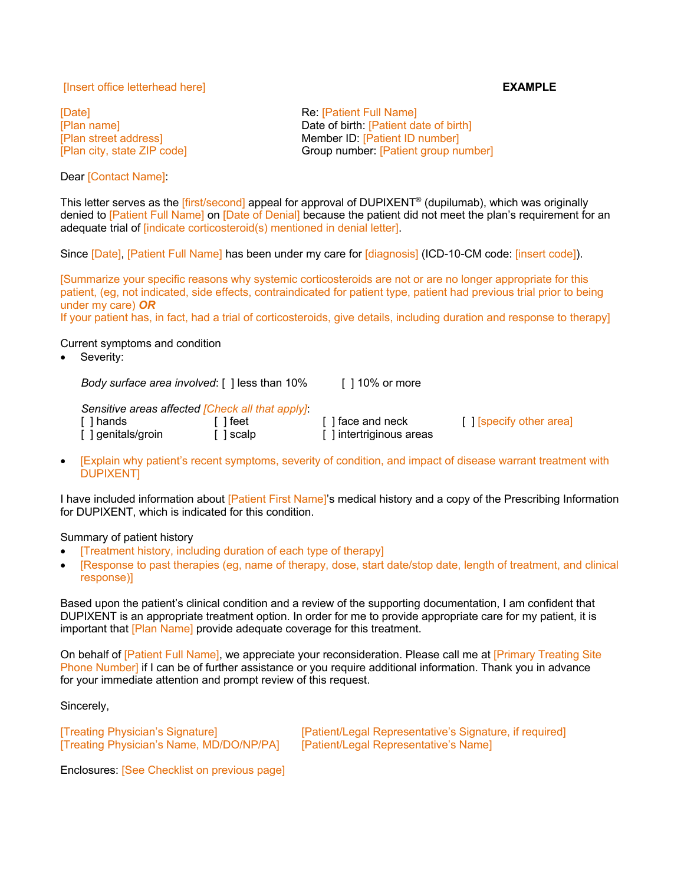## [Insert office letterhead here] **EXAMPLE**

Dear [Contact Name]:

**Example 2** The Contract of the Contract Re: **[Patient Full Name]** [Plan name] **Date of birth:** [Patient date of birth] [Plan street address] Member ID: [Patient ID number] [Plan city, state ZIP code] Group number: [Patient group number]

This letter serves as the [first/second] appeal for approval of DUPIXENT<sup>®</sup> (dupilumab), which was originally denied to [Patient Full Name] on [Date of Denial] because the patient did not meet the plan's requirement for an adequate trial of [indicate corticosteroid(s) mentioned in denial letter].

Since [Date], [Patient Full Name] has been under my care for [diagnosis] (ICD-10-CM code: [insert code]).

[Summarize your specific reasons why systemic corticosteroids are not or are no longer appropriate for this patient, (eg, not indicated, side effects, contraindicated for patient type, patient had previous trial prior to being under my care) *OR*

If your patient has, in fact, had a trial of corticosteroids, give details, including duration and response to therapy]

Current symptoms and condition

Severity:

*Body surface area involved*: [ ] less than 10% [ ] 10% or more

*Sensitive areas affected [Check all that apply]*:

[ ] hands [ ] feet [ ] face and neck [ ] [specify other area] [ ] genitals/groin [ ] ] scalp [ ] ] intertriginous areas [ ] scalp [ ] intertriginous areas

• [Explain why patient's recent symptoms, severity of condition, and impact of disease warrant treatment with DUPIXENT]

I have included information about [Patient First Name]'s medical history and a copy of the Prescribing Information for DUPIXENT, which is indicated for this condition.

Summary of patient history

- [Treatment history, including duration of each type of therapy]
- [Response to past therapies (eg, name of therapy, dose, start date/stop date, length of treatment, and clinical response)]

Based upon the patient's clinical condition and a review of the supporting documentation, I am confident that DUPIXENT is an appropriate treatment option. In order for me to provide appropriate care for my patient, it is important that [Plan Name] provide adequate coverage for this treatment.

On behalf of [Patient Full Name], we appreciate your reconsideration. Please call me at [Primary Treating Site Phone Number] if I can be of further assistance or you require additional information. Thank you in advance for your immediate attention and prompt review of this request.

Sincerely,

[Treating Physician's Name, MD/DO/NP/PA] [Patient/Legal Representative's Name]

[Treating Physician's Signature] [Patient/Legal Representative's Signature, if required]

Enclosures: [See Checklist on previous page]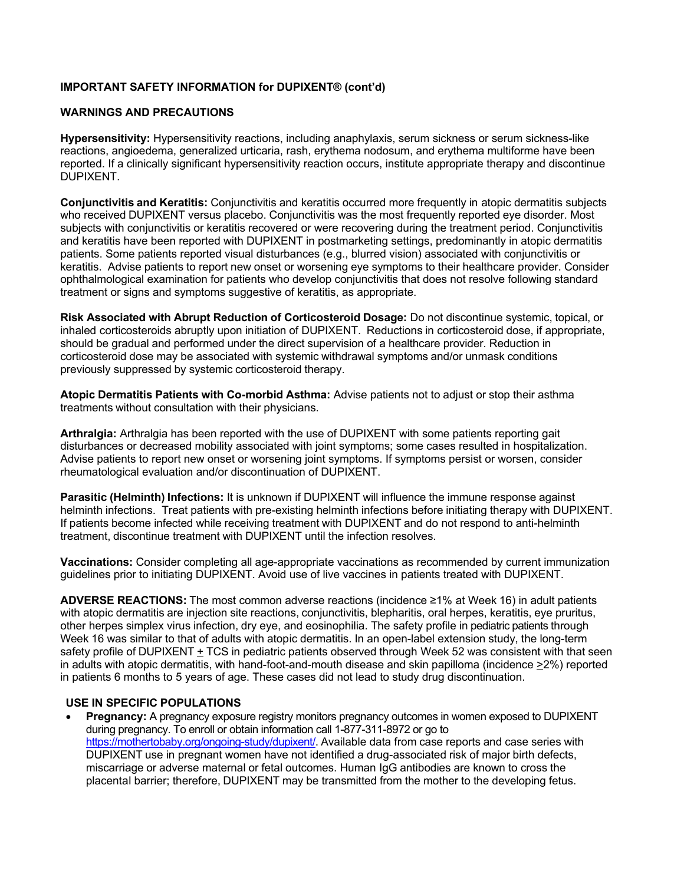# **IMPORTANT SAFETY INFORMATION for DUPIXENT® (cont'd)**

### **WARNINGS AND PRECAUTIONS**

**Hypersensitivity:** Hypersensitivity reactions, including anaphylaxis, serum sickness or serum sickness-like reactions, angioedema, generalized urticaria, rash, erythema nodosum, and erythema multiforme have been reported. If a clinically significant hypersensitivity reaction occurs, institute appropriate therapy and discontinue DUPIXENT.

**Conjunctivitis and Keratitis:** Conjunctivitis and keratitis occurred more frequently in atopic dermatitis subjects who received DUPIXENT versus placebo. Conjunctivitis was the most frequently reported eve disorder. Most subjects with conjunctivitis or keratitis recovered or were recovering during the treatment period. Conjunctivitis and keratitis have been reported with DUPIXENT in postmarketing settings, predominantly in atopic dermatitis patients. Some patients reported visual disturbances (e.g., blurred vision) associated with conjunctivitis or keratitis. Advise patients to report new onset or worsening eye symptoms to their healthcare provider. Consider ophthalmological examination for patients who develop conjunctivitis that does not resolve following standard treatment or signs and symptoms suggestive of keratitis, as appropriate.

**Risk Associated with Abrupt Reduction of Corticosteroid Dosage:** Do not discontinue systemic, topical, or inhaled corticosteroids abruptly upon initiation of DUPIXENT. Reductions in corticosteroid dose, if appropriate, should be gradual and performed under the direct supervision of a healthcare provider. Reduction in corticosteroid dose may be associated with systemic withdrawal symptoms and/or unmask conditions previously suppressed by systemic corticosteroid therapy.

**Atopic Dermatitis Patients with Co-morbid Asthma:** Advise patients not to adjust or stop their asthma treatments without consultation with their physicians.

**Arthralgia:** Arthralgia has been reported with the use of DUPIXENT with some patients reporting gait disturbances or decreased mobility associated with joint symptoms; some cases resulted in hospitalization. Advise patients to report new onset or worsening joint symptoms. If symptoms persist or worsen, consider rheumatological evaluation and/or discontinuation of DUPIXENT.

**Parasitic (Helminth) Infections:** It is unknown if DUPIXENT will influence the immune response against helminth infections. Treat patients with pre-existing helminth infections before initiating therapy with DUPIXENT. If patients become infected while receiving treatment with DUPIXENT and do not respond to anti-helminth treatment, discontinue treatment with DUPIXENT until the infection resolves.

**Vaccinations:** Consider completing all age-appropriate vaccinations as recommended by current immunization guidelines prior to initiating DUPIXENT. Avoid use of live vaccines in patients treated with DUPIXENT.

**ADVERSE REACTIONS:** The most common adverse reactions (incidence ≥1% at Week 16) in adult patients with atopic dermatitis are injection site reactions, conjunctivitis, blepharitis, oral herpes, keratitis, eye pruritus, other herpes simplex virus infection, dry eye, and eosinophilia. The safety profile in pediatric patients through Week 16 was similar to that of adults with atopic dermatitis. In an open-label extension study, the long-term safety profile of DUPIXENT + TCS in pediatric patients observed through Week 52 was consistent with that seen in adults with atopic dermatitis, with hand-foot-and-mouth disease and skin papilloma (incidence >2%) reported in patients 6 months to 5 years of age. These cases did not lead to study drug discontinuation.

#### **USE IN SPECIFIC POPULATIONS**

**Pregnancy:** A pregnancy exposure registry monitors pregnancy outcomes in women exposed to DUPIXENT during pregnancy. To enroll or obtain information call 1-877-311-8972 or go to https://mothertobaby.org/ongoing-study/dupixent/. Available data from case reports and case series with DUPIXENT use in pregnant women have not identified a drug-associated risk of major birth defects, miscarriage or adverse maternal or fetal outcomes. Human IgG antibodies are known to cross the placental barrier; therefore, DUPIXENT may be transmitted from the mother to the developing fetus.